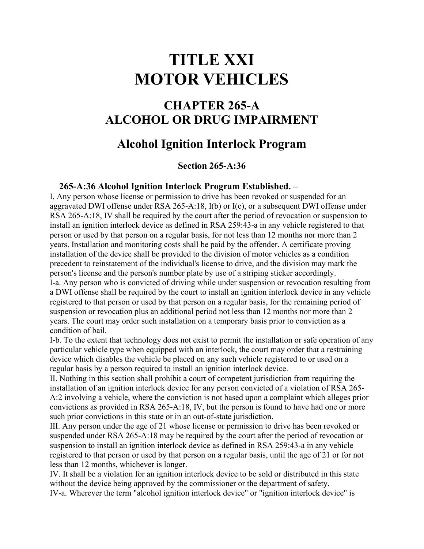# **TITLE XXI MOTOR VEHICLES**

## **CHAPTER 265-A ALCOHOL OR DRUG IMPAIRMENT**

## **Alcohol Ignition Interlock Program**

### **Section 265-A:36**

#### **265-A:36 Alcohol Ignition Interlock Program Established. –**

I. Any person whose license or permission to drive has been revoked or suspended for an aggravated DWI offense under RSA 265-A:18, I(b) or I(c), or a subsequent DWI offense under RSA 265-A:18, IV shall be required by the court after the period of revocation or suspension to install an ignition interlock device as defined in RSA 259:43-a in any vehicle registered to that person or used by that person on a regular basis, for not less than 12 months nor more than 2 years. Installation and monitoring costs shall be paid by the offender. A certificate proving installation of the device shall be provided to the division of motor vehicles as a condition precedent to reinstatement of the individual's license to drive, and the division may mark the person's license and the person's number plate by use of a striping sticker accordingly.

I-a. Any person who is convicted of driving while under suspension or revocation resulting from a DWI offense shall be required by the court to install an ignition interlock device in any vehicle registered to that person or used by that person on a regular basis, for the remaining period of suspension or revocation plus an additional period not less than 12 months nor more than 2 years. The court may order such installation on a temporary basis prior to conviction as a condition of bail.

I-b. To the extent that technology does not exist to permit the installation or safe operation of any particular vehicle type when equipped with an interlock, the court may order that a restraining device which disables the vehicle be placed on any such vehicle registered to or used on a regular basis by a person required to install an ignition interlock device.

II. Nothing in this section shall prohibit a court of competent jurisdiction from requiring the installation of an ignition interlock device for any person convicted of a violation of RSA 265- A:2 involving a vehicle, where the conviction is not based upon a complaint which alleges prior convictions as provided in RSA 265-A:18, IV, but the person is found to have had one or more such prior convictions in this state or in an out-of-state jurisdiction.

III. Any person under the age of 21 whose license or permission to drive has been revoked or suspended under RSA 265-A:18 may be required by the court after the period of revocation or suspension to install an ignition interlock device as defined in RSA 259:43-a in any vehicle registered to that person or used by that person on a regular basis, until the age of 21 or for not less than 12 months, whichever is longer.

IV. It shall be a violation for an ignition interlock device to be sold or distributed in this state without the device being approved by the commissioner or the department of safety.

IV-a. Wherever the term "alcohol ignition interlock device" or "ignition interlock device" is